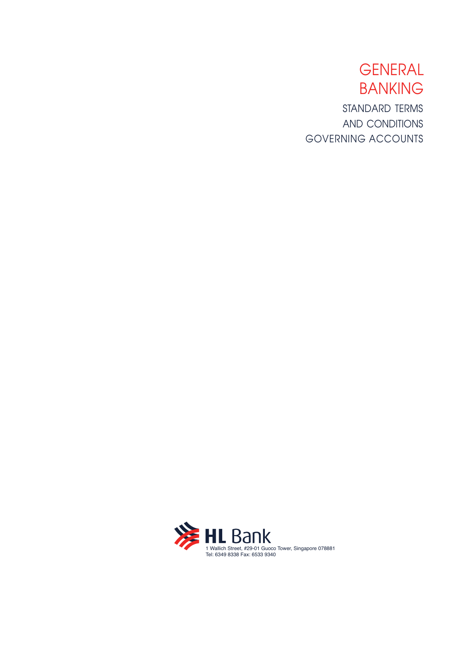# GENERAL BANKING STANDARD TERMS AND CONDITIONS GOVERNING ACCOUNTS

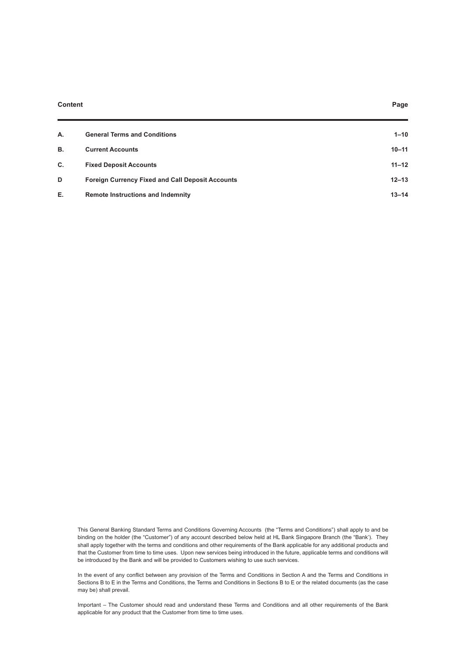#### **Content Page**

| А. | <b>General Terms and Conditions</b>                     | $1 - 10$  |
|----|---------------------------------------------------------|-----------|
| В. | <b>Current Accounts</b>                                 | $10 - 11$ |
| C. | <b>Fixed Deposit Accounts</b>                           | $11 - 12$ |
| D  | <b>Foreign Currency Fixed and Call Deposit Accounts</b> | $12 - 13$ |
| Е. | <b>Remote Instructions and Indemnity</b>                | $13 - 14$ |

This General Banking Standard Terms and Conditions Governing Accounts (the "Terms and Conditions") shall apply to and be binding on the holder (the "Customer") of any account described below held at HL Bank Singapore Branch (the "Bank'). They shall apply together with the terms and conditions and other requirements of the Bank applicable for any additional products and that the Customer from time to time uses. Upon new services being introduced in the future, applicable terms and conditions will be introduced by the Bank and will be provided to Customers wishing to use such services.

In the event of any conflict between any provision of the Terms and Conditions in Section A and the Terms and Conditions in Sections B to E in the Terms and Conditions, the Terms and Conditions in Sections B to E or the related documents (as the case may be) shall prevail.

Important – The Customer should read and understand these Terms and Conditions and all other requirements of the Bank applicable for any product that the Customer from time to time uses.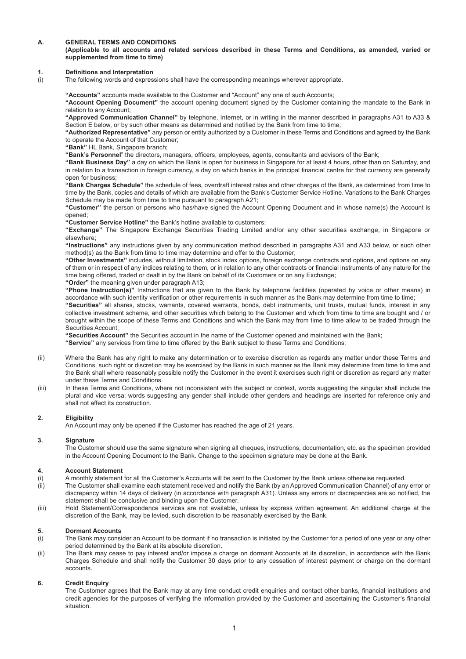# **A. GENERAL TERMS AND CONDITIONS**

## **(Applicable to all accounts and related services described in these Terms and Conditions, as amended, varied or supplemented from time to time)**

## **1.** Definitions and Interpretation

(i) The following words and expressions shall have the corresponding meanings wherever appropriate.

**"Accounts"** accounts made available to the Customer and "Account" any one of such Accounts; **"Account Opening Document"** the account opening document signed by the Customer containing the mandate to the Bank in relation to any Account;

**"Approved Communication Channel"** by telephone, Internet, or in writing in the manner described in paragraphs A31 to A33 & Section E below, or by such other means as determined and notified by the Bank from time to time;

**"Authorized Representative"** any person or entity authorized by a Customer in these Terms and Conditions and agreed by the Bank to operate the Account of that Customer;

**"Bank"** HL Bank, Singapore branch;

"Bank's Personnel" the directors, managers, officers, employees, agents, consultants and advisors of the Bank;

**"Bank Business Day"** a day on which the Bank is open for business in Singapore for at least 4 hours, other than on Saturday, and in relation to a transaction in foreign currency, a day on which banks in the principal financial centre for that currency are generally open for business;

**"Bank Charges Schedule"** the schedule of fees, overdraft interest rates and other charges of the Bank, as determined from time to time by the Bank, copies and details of which are available from the Bank's Customer Service Hotline. Variations to the Bank Charges Schedule may be made from time to time pursuant to paragraph A21;

**"Customer"** the person or persons who has/have signed the Account Opening Document and in whose name(s) the Account is opened;

**"Customer Service Hotline"** the Bank's hotline available to customers;

**"Exchange"** The Singapore Exchange Securities Trading Limited and/or any other securities exchange, in Singapore or elsewhere;

**"Instructions"** any instructions given by any communication method described in paragraphs A31 and A33 below, or such other method(s) as the Bank from time to time may determine and offer to the Customer;

**"Other Investments"** includes, without limitation, stock index options, foreign exchange contracts and options, and options on any of them or in respect of any indices relating to them, or in relation to any other contracts or financial instruments of any nature for the time being offered, traded or dealt in by the Bank on behalf of its Customers or on any Exchange;

**"Order"** the meaning given under paragraph A13;

**"Phone Instruction(s)"** Instructions that are given to the Bank by telephone facilities (operated by voice or other means) in accordance with such identity verification or other requirements in such manner as the Bank may determine from time to time;

**"Securities"** all shares, stocks, warrants, covered warrants, bonds, debt instruments, unit trusts, mutual funds, interest in any collective investment scheme, and other securities which belong to the Customer and which from time to time are bought and / or brought within the scope of these Terms and Conditions and which the Bank may from time to time allow to be traded through the Securities Account;

**"Securities Account"** the Securities account in the name of the Customer opened and maintained with the Bank;

**"Service"** any services from time to time offered by the Bank subject to these Terms and Conditions;

- (ii) Where the Bank has any right to make any determination or to exercise discretion as regards any matter under these Terms and Conditions, such right or discretion may be exercised by the Bank in such manner as the Bank may determine from time to time and the Bank shall where reasonably possible notify the Customer in the event it exercises such right or discretion as regard any matter under these Terms and Conditions.
- (iii) In these Terms and Conditions, where not inconsistent with the subject or context, words suggesting the singular shall include the plural and vice versa; words suggesting any gender shall include other genders and headings are inserted for reference only and shall not affect its construction.

# **2. Eligibility**

An Account may only be opened if the Customer has reached the age of 21 years.

## **3. Signature**

The Customer should use the same signature when signing all cheques, instructions, documentation, etc. as the specimen provided in the Account Opening Document to the Bank. Change to the specimen signature may be done at the Bank.

## **4. Account Statement**

- (i) A monthly statement for all the Customer's Accounts will be sent to the Customer by the Bank unless otherwise requested.<br>(ii) The Customer shall examine each statement received and notify the Bank (by an Approved Commu
- The Customer shall examine each statement received and notify the Bank (by an Approved Communication Channel) of any error or discrepancy within 14 days of delivery (in accordance with paragraph A31). Unless any errors or discrepancies are so notified, the statement shall be conclusive and binding upon the Customer.
- (iii) Hold Statement/Correspondence services are not available, unless by express written agreement. An additional charge at the discretion of the Bank, may be levied, such discretion to be reasonably exercised by the Bank.

# **5. Dormant Accounts**

- The Bank may consider an Account to be dormant if no transaction is initiated by the Customer for a period of one year or any other period determined by the Bank at its absolute discretion.
- (ii) The Bank may cease to pay interest and/or impose a charge on dormant Accounts at its discretion, in accordance with the Bank Charges Schedule and shall notify the Customer 30 days prior to any cessation of interest payment or charge on the dormant accounts.

## **6. Credit Enquiry**

The Customer agrees that the Bank may at any time conduct credit enquiries and contact other banks, financial institutions and credit agencies for the purposes of verifying the information provided by the Customer and ascertaining the Customer's financial situation.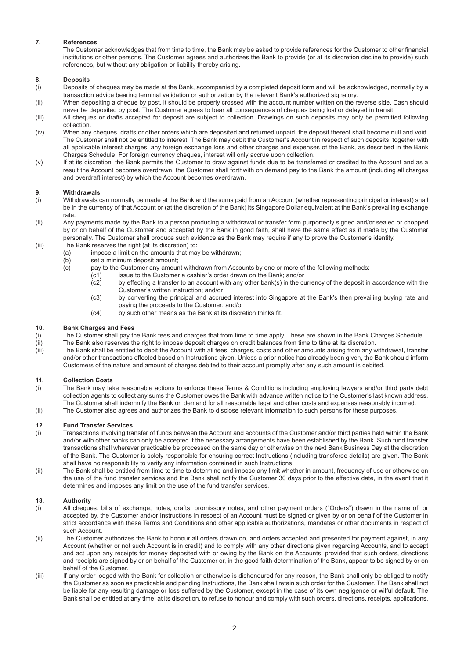# **7. References**

The Customer acknowledges that from time to time, the Bank may be asked to provide references for the Customer to other financial institutions or other persons. The Customer agrees and authorizes the Bank to provide (or at its discretion decline to provide) such references, but without any obligation or liability thereby arising.

# **8. Deposits**

- (i) Deposits of cheques may be made at the Bank, accompanied by a completed deposit form and will be acknowledged, normally by a transaction advice bearing terminal validation or authorization by the relevant Bank's authorized signatory.
- (ii) When depositing a cheque by post, it should be properly crossed with the account number written on the reverse side. Cash should never be deposited by post. The Customer agrees to bear all consequences of cheques being lost or delayed in transit.
- (iii) All cheques or drafts accepted for deposit are subject to collection. Drawings on such deposits may only be permitted following collection.
- (iv) When any cheques, drafts or other orders which are deposited and returned unpaid, the deposit thereof shall become null and void. The Customer shall not be entitled to interest. The Bank may debit the Customer's Account in respect of such deposits, together with all applicable interest charges, any foreign exchange loss and other charges and expenses of the Bank, as described in the Bank Charges Schedule. For foreign currency cheques, interest will only accrue upon collection.
- (v) If at its discretion, the Bank permits the Customer to draw against funds due to be transferred or credited to the Account and as a result the Account becomes overdrawn, the Customer shall forthwith on demand pay to the Bank the amount (including all charges and overdraft interest) by which the Account becomes overdrawn.

# **9. Withdrawals**

- (i) Withdrawals can normally be made at the Bank and the sums paid from an Account (whether representing principal or interest) shall be in the currency of that Account or (at the discretion of the Bank) its Singapore Dollar equivalent at the Bank's prevailing exchange rate.
- (ii) Any payments made by the Bank to a person producing a withdrawal or transfer form purportedly signed and/or sealed or chopped by or on behalf of the Customer and accepted by the Bank in good faith, shall have the same effect as if made by the Customer personally. The Customer shall produce such evidence as the Bank may require if any to prove the Customer's identity.
- (iii) The Bank reserves the right (at its discretion) to:<br>(a) impose a limit on the amounts that ma
	- (a) impose a limit on the amounts that may be withdrawn;<br>(b) set a minimum deposit amount:
	- set a minimum deposit amount:
	- (c) pay to the Customer any amount withdrawn from Accounts by one or more of the following methods:
		- (c1) issue to the Customer a cashier's order drawn on the Bank; and/or
		- (c2) by effecting a transfer to an account with any other bank(s) in the currency of the deposit in accordance with the Customer's written instruction; and/or
		- (c3) by converting the principal and accrued interest into Singapore at the Bank's then prevailing buying rate and paying the proceeds to the Customer; and/or
		- (c4) by such other means as the Bank at its discretion thinks fit.

# **10. Bank Charges and Fees**

- (i) The Customer shall pay the Bank fees and charges that from time to time apply. These are shown in the Bank Charges Schedule.
- (ii) The Bank also reserves the right to impose deposit charges on credit balances from time to time at its discretion.
- (iii) The Bank shall be entitled to debit the Account with all fees, charges, costs and other amounts arising from any withdrawal, transfer and/or other transactions effected based on Instructions given. Unless a prior notice has already been given, the Bank should inform Customers of the nature and amount of charges debited to their account promptly after any such amount is debited.

# **11. Collection Costs**

- The Bank may take reasonable actions to enforce these Terms & Conditions including employing lawyers and/or third party debt collection agents to collect any sums the Customer owes the Bank with advance written notice to the Customer's last known address. The Customer shall indemnify the Bank on demand for all reasonable legal and other costs and expenses reasonably incurred. (ii) The Customer also agrees and authorizes the Bank to disclose relevant information to such persons for these purposes.
- **12. Fund Transfer Services**
- (i) Transactions involving transfer of funds between the Account and accounts of the Customer and/or third parties held within the Bank and/or with other banks can only be accepted if the necessary arrangements have been established by the Bank. Such fund transfer transactions shall wherever practicable be processed on the same day or otherwise on the next Bank Business Day at the discretion of the Bank. The Customer is solely responsible for ensuring correct Instructions (including transferee details) are given. The Bank shall have no responsibility to verify any information contained in such Instructions.
- (ii) The Bank shall be entitled from time to time to determine and impose any limit whether in amount, frequency of use or otherwise on the use of the fund transfer services and the Bank shall notify the Customer 30 days prior to the effective date, in the event that it determines and imposes any limit on the use of the fund transfer services.

# **13. Authority**

- (i) All cheques, bills of exchange, notes, drafts, promissory notes, and other payment orders ("Orders") drawn in the name of, or accepted by, the Customer and/or Instructions in respect of an Account must be signed or given by or on behalf of the Customer in strict accordance with these Terms and Conditions and other applicable authorizations, mandates or other documents in respect of such Account.
- (ii) The Customer authorizes the Bank to honour all orders drawn on, and orders accepted and presented for payment against, in any Account (whether or not such Account is in credit) and to comply with any other directions given regarding Accounts, and to accept and act upon any receipts for money deposited with or owing by the Bank on the Accounts, provided that such orders, directions and receipts are signed by or on behalf of the Customer or, in the good faith determination of the Bank, appear to be signed by or on behalf of the Customer.
- (iii) If any order lodged with the Bank for collection or otherwise is dishonoured for any reason, the Bank shall only be obliged to notify the Customer as soon as practicable and pending Instructions, the Bank shall retain such order for the Customer. The Bank shall not be liable for any resulting damage or loss suffered by the Customer, except in the case of its own negligence or wilful default. The Bank shall be entitled at any time, at its discretion, to refuse to honour and comply with such orders, directions, receipts, applications,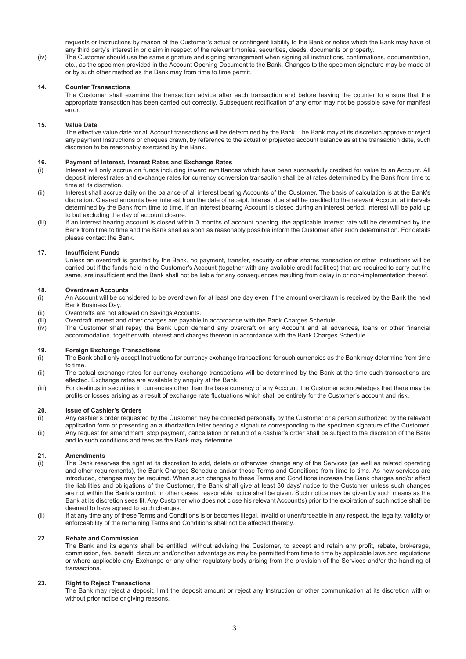requests or Instructions by reason of the Customer's actual or contingent liability to the Bank or notice which the Bank may have of any third party's interest in or claim in respect of the relevant monies, securities, deeds, documents or property.

(iv) The Customer should use the same signature and signing arrangement when signing all instructions, confirmations, documentation. etc., as the specimen provided in the Account Opening Document to the Bank. Changes to the specimen signature may be made at or by such other method as the Bank may from time to time permit.

# **14. Counter Transactions**

The Customer shall examine the transaction advice after each transaction and before leaving the counter to ensure that the appropriate transaction has been carried out correctly. Subsequent rectification of any error may not be possible save for manifest error.

# **15. Value Date**

The effective value date for all Account transactions will be determined by the Bank. The Bank may at its discretion approve or reject any payment Instructions or cheques drawn, by reference to the actual or projected account balance as at the transaction date, such discretion to be reasonably exercised by the Bank.

## **16. Payment of Interest, Interest Rates and Exchange Rates**

- (i) Interest will only accrue on funds including inward remittances which have been successfully credited for value to an Account. All deposit interest rates and exchange rates for currency conversion transaction shall be at rates determined by the Bank from time to time at its discretion.
- (ii) Interest shall accrue daily on the balance of all interest bearing Accounts of the Customer. The basis of calculation is at the Bank's discretion. Cleared amounts bear interest from the date of receipt. Interest due shall be credited to the relevant Account at intervals determined by the Bank from time to time. If an interest bearing Account is closed during an interest period, interest will be paid up to but excluding the day of account closure.
- (iii) If an interest bearing account is closed within 3 months of account opening, the applicable interest rate will be determined by the Bank from time to time and the Bank shall as soon as reasonably possible inform the Customer after such determination. For details please contact the Bank.

# **17.** Insufficient Funds

Unless an overdraft is granted by the Bank, no payment, transfer, security or other shares transaction or other Instructions will be carried out if the funds held in the Customer's Account (together with any available credit facilities) that are required to carry out the same, are insufficient and the Bank shall not be liable for any consequences resulting from delay in or non-implementation thereof.

## **18. Overdrawn Accounts**

- (i) An Account will be considered to be overdrawn for at least one day even if the amount overdrawn is received by the Bank the next Bank Business Day.
- (ii) Overdrafts are not allowed on Savings Accounts.
- (iii) Overdraft interest and other charges are payable in accordance with the Bank Charges Schedule.
- $I_V$  The Customer shall repay the Bank upon demand any overdraft on any Account and all advances, loans or other financial accommodation, together with interest and charges thereon in accordance with the Bank Charges Schedule.

## **19. Foreign Exchange Transactions**

- (i) The Bank shall only accept Instructions for currency exchange transactions for such currencies as the Bank may determine from time to time.
- (ii) The actual exchange rates for currency exchange transactions will be determined by the Bank at the time such transactions are effected. Exchange rates are available by enquiry at the Bank.
- (iii) For dealings in securities in currencies other than the base currency of any Account, the Customer acknowledges that there may be profits or losses arising as a result of exchange rate fluctuations which shall be entirely for the Customer's account and risk.

## **20. Issue of Cashier's Orders**

- (i) Any cashier's order requested by the Customer may be collected personally by the Customer or a person authorized by the relevant application form or presenting an authorization letter bearing a signature corresponding to the specimen signature of the Customer.
- (ii) Any request for amendment, stop payment, cancellation or refund of a cashier's order shall be subject to the discretion of the Bank and to such conditions and fees as the Bank may determine.

## **21. Amendments**

- (i) The Bank reserves the right at its discretion to add, delete or otherwise change any of the Services (as well as related operating and other requirements), the Bank Charges Schedule and/or these Terms and Conditions from time to time. As new services are introduced, changes may be required. When such changes to these Terms and Conditions increase the Bank charges and/or affect the liabilities and obligations of the Customer, the Bank shall give at least 30 days' notice to the Customer unless such changes are not within the Bank's control. In other cases, reasonable notice shall be given. Such notice may be given by such means as the Bank at its discretion sees fit. Any Customer who does not close his relevant Account(s) prior to the expiration of such notice shall be deemed to have agreed to such changes.
- (ii) If at any time any of these Terms and Conditions is or becomes illegal, invalid or unenforceable in any respect, the legality, validity or enforceability of the remaining Terms and Conditions shall not be affected thereby.

## **22. Rebate and Commission**

The Bank and its agents shall be entitled, without advising the Customer, to accept and retain any profit, rebate, brokerage, commission, fee, benefit, discount and/or other advantage as may be permitted from time to time by applicable laws and regulations or where applicable any Exchange or any other regulatory body arising from the provision of the Services and/or the handling of transactions.

## **23. Right to Reject Transactions**

The Bank may reject a deposit, limit the deposit amount or reject any Instruction or other communication at its discretion with or without prior notice or giving reasons.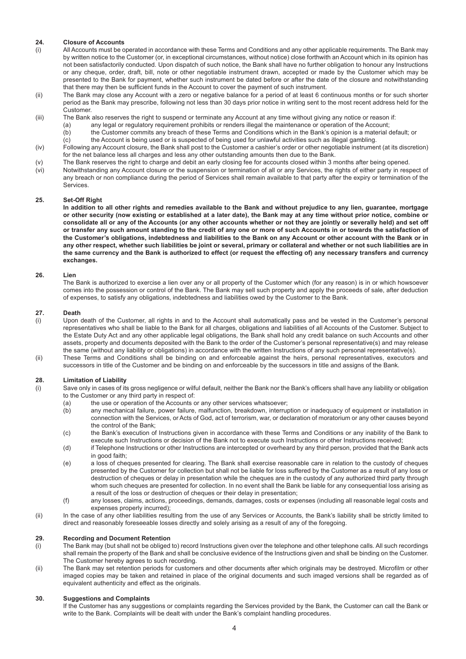# **24. Closure of Accounts**

- (i) All Accounts must be operated in accordance with these Terms and Conditions and any other applicable requirements. The Bank may by written notice to the Customer (or, in exceptional circumstances, without notice) close forthwith an Account which in its opinion has not been satisfactorily conducted. Upon dispatch of such notice, the Bank shall have no further obligation to honour any Instructions or any cheque, order, draft, bill, note or other negotiable instrument drawn, accepted or made by the Customer which may be presented to the Bank for payment, whether such instrument be dated before or after the date of the closure and notwithstanding that there may then be sufficient funds in the Account to cover the payment of such instrument.
- (ii) The Bank may close any Account with a zero or negative balance for a period of at least 6 continuous months or for such shorter period as the Bank may prescribe, following not less than 30 days prior notice in writing sent to the most recent address held for the Customer.
- (iii) The Bank also reserves the right to suspend or terminate any Account at any time without giving any notice or reason if:
	- (a) any legal or regulatory requirement prohibits or renders illegal the maintenance or operation of the Account;<br>(b) the Customer commits any breach of these Terms and Conditions which in the Bank's opinion is a material
	- (b) the Customer commits any breach of these Terms and Conditions which in the Bank's opinion is a material default; or <br>(c) the Account is being used or is suspected of being used for unlawful activities such as illegal g the Account is being used or is suspected of being used for unlawful activities such as illegal gambling.
- (iv) Following any Account closure, the Bank shall post to the Customer a cashier's order or other negotiable instrument (at its discretion) for the net balance less all charges and less any other outstanding amounts then due to the Bank.
- (v) The Bank reserves the right to charge and debit an early closing fee for accounts closed within 3 months after being opened.
- (vi) Notwithstanding any Account closure or the suspension or termination of all or any Services, the rights of either party in respect of any breach or non compliance during the period of Services shall remain available to that party after the expiry or termination of the Services.

# **25. Set-Off Right**

**In addition to all other rights and remedies available to the Bank and without prejudice to any lien, guarantee, mortgage or other security (now existing or established at a later date), the Bank may at any time without prior notice, combine or consolidate all or any of the Accounts (or any other accounts whether or not they are jointly or severally held) and set off or transfer any such amount standing to the credit of any one or more of such Accounts in or towards the satisfaction of the Customer's obligations, indebtedness and liabilities to the Bank on any Account or other account with the Bank or in any other respect, whether such liabilities be joint or several, primary or collateral and whether or not such liabilities are in the same currency and the Bank is authorized to effect (or request the effecting of) any necessary transfers and currency exchanges.**

# **26. Lien**

The Bank is authorized to exercise a lien over any or all property of the Customer which (for any reason) is in or which howsoever comes into the possession or control of the Bank. The Bank may sell such property and apply the proceeds of sale, after deduction of expenses, to satisfy any obligations, indebtedness and liabilities owed by the Customer to the Bank.

# **27. Death**

- (i) Upon death of the Customer, all rights in and to the Account shall automatically pass and be vested in the Customer's personal representatives who shall be liable to the Bank for all charges, obligations and liabilities of all Accounts of the Customer. Subject to the Estate Duty Act and any other applicable legal obligations, the Bank shall hold any credit balance on such Accounts and other assets, property and documents deposited with the Bank to the order of the Customer's personal representative(s) and may release the same (without any liability or obligations) in accordance with the written Instructions of any such personal representative(s).
- (ii) These Terms and Conditions shall be binding on and enforceable against the heirs, personal representatives, executors and successors in title of the Customer and be binding on and enforceable by the successors in title and assigns of the Bank.

# **28. Limitation of Liability**

- Save only in cases of its gross negligence or wilful default, neither the Bank nor the Bank's officers shall have any liability or obligation to the Customer or any third party in respect of:
	- (a) the use or operation of the Accounts or any other services whatsoever;<br>(b) any mechanical failure, power failure, malfunction, breakdown, interrur
	- any mechanical failure, power failure, malfunction, breakdown, interruption or inadequacy of equipment or installation in connection with the Services, or Acts of God, act of terrorism, war, or declaration of moratorium or any other causes beyond the control of the Bank;
	- (c) the Bank's execution of Instructions given in accordance with these Terms and Conditions or any inability of the Bank to execute such Instructions or decision of the Bank not to execute such Instructions or other Instructions received;
	- (d) if Telephone Instructions or other Instructions are intercepted or overheard by any third person, provided that the Bank acts in good faith:
	- (e) a loss of cheques presented for clearing. The Bank shall exercise reasonable care in relation to the custody of cheques presented by the Customer for collection but shall not be liable for loss suffered by the Customer as a result of any loss or destruction of cheques or delay in presentation while the cheques are in the custody of any authorized third party through whom such cheques are presented for collection. In no event shall the Bank be liable for any consequential loss arising as a result of the loss or destruction of cheques or their delay in presentation;
	- (f) any losses, claims, actions, proceedings, demands, damages, costs or expenses (including all reasonable legal costs and expenses properly incurred);
- (ii) In the case of any other liabilities resulting from the use of any Services or Accounts, the Bank's liability shall be strictly limited to direct and reasonably foreseeable losses directly and solely arising as a result of any of the foregoing.

## **29. Recording and Document Retention**

- (i) The Bank may (but shall not be obliged to) record Instructions given over the telephone and other telephone calls. All such recordings shall remain the property of the Bank and shall be conclusive evidence of the Instructions given and shall be binding on the Customer. The Customer hereby agrees to such recording.
- (ii) The Bank may set retention periods for customers and other documents after which originals may be destroyed. Microfilm or other imaged copies may be taken and retained in place of the original documents and such imaged versions shall be regarded as of equivalent authenticity and effect as the originals.

# **30. Suggestions and Complaints**

If the Customer has any suggestions or complaints regarding the Services provided by the Bank, the Customer can call the Bank or write to the Bank. Complaints will be dealt with under the Bank's complaint handling procedures.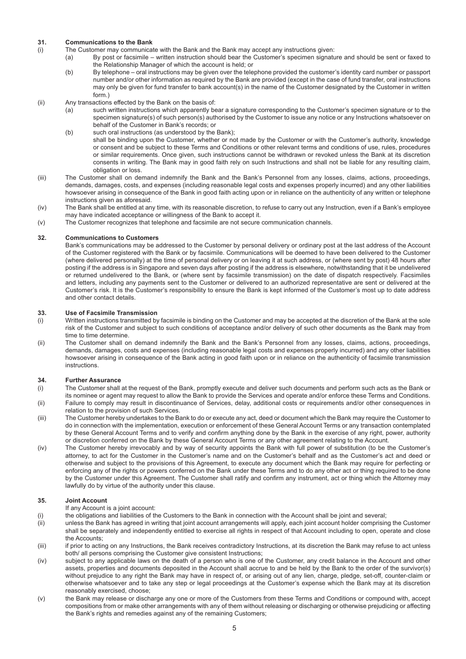# **31. Communications to the Bank**

- (i) The Customer may communicate with the Bank and the Bank may accept any instructions given:<br>(a) By post or facsimile written instruction should bear the Customer's specimen signature
	- By post or facsimile written instruction should bear the Customer's specimen signature and should be sent or faxed to the Relationship Manager of which the account is held; or
	- (b) By telephone oral instructions may be given over the telephone provided the customer's identity card number or passport number and/or other information as required by the Bank are provided (except in the case of fund transfer, oral instructions may only be given for fund transfer to bank account(s) in the name of the Customer designated by the Customer in written form.)
- (ii) Any transactions effected by the Bank on the basis of:<br>(a) such written instructions which apparently be
	- such written instructions which apparently bear a signature corresponding to the Customer's specimen signature or to the specimen signature(s) of such person(s) authorised by the Customer to issue any notice or any Instructions whatsoever on behalf of the Customer in Bank's records; or
	- (b) such oral instructions (as understood by the Bank); shall be binding upon the Customer, whether or not made by the Customer or with the Customer's authority, knowledge or consent and be subject to these Terms and Conditions or other relevant terms and conditions of use, rules, procedures or similar requirements. Once given, such instructions cannot be withdrawn or revoked unless the Bank at its discretion consents in writing. The Bank may in good faith rely on such Instructions and shall not be liable for any resulting claim, obligation or loss.
- (iii) The Customer shall on demand indemnify the Bank and the Bank's Personnel from any losses, claims, actions, proceedings, demands, damages, costs, and expenses (including reasonable legal costs and expenses properly incurred) and any other liabilities howsoever arising in consequence of the Bank in good faith acting upon or in reliance on the authenticity of any written or telephone instructions given as aforesaid.
- (iv) The Bank shall be entitled at any time, with its reasonable discretion, to refuse to carry out any Instruction, even if a Bank's employee may have indicated acceptance or willingness of the Bank to accept it.
- (v) The Customer recognizes that telephone and facsimile are not secure communication channels.

# **32. Communications to Customers**

Bank's communications may be addressed to the Customer by personal delivery or ordinary post at the last address of the Account of the Customer registered with the Bank or by facsimile. Communications will be deemed to have been delivered to the Customer (where delivered personally) at the time of personal delivery or on leaving it at such address, or (where sent by post) 48 hours after posting if the address is in Singapore and seven days after posting if the address is elsewhere, notwithstanding that it be undelivered or returned undelivered to the Bank, or (where sent by facsimile transmission) on the date of dispatch respectively. Facsimiles and letters, including any payments sent to the Customer or delivered to an authorized representative are sent or delivered at the Customer's risk. It is the Customer's responsibility to ensure the Bank is kept informed of the Customer's most up to date address and other contact details.

# **33. Use of Facsimile Transmission**

- (i) Written instructions transmitted by facsimile is binding on the Customer and may be accepted at the discretion of the Bank at the sole risk of the Customer and subject to such conditions of acceptance and/or delivery of such other documents as the Bank may from time to time determine.
- (ii) The Customer shall on demand indemnify the Bank and the Bank's Personnel from any losses, claims, actions, proceedings, demands, damages, costs and expenses (including reasonable legal costs and expenses properly incurred) and any other liabilities howsoever arising in consequence of the Bank acting in good faith upon or in reliance on the authenticity of facsimile transmission instructions.

# **34. Further Assurance**

- (i) The Customer shall at the request of the Bank, promptly execute and deliver such documents and perform such acts as the Bank or its nominee or agent may request to allow the Bank to provide the Services and operate and/or enforce these Terms and Conditions.
- (ii) Failure to comply may result in discontinuance of Services, delay, additional costs or requirements and/or other consequences in relation to the provision of such Services.
- (iii) The Customer hereby undertakes to the Bank to do or execute any act, deed or document which the Bank may require the Customer to do in connection with the implementation, execution or enforcement of these General Account Terms or any transaction contemplated by these General Account Terms and to verify and confirm anything done by the Bank in the exercise of any right, power, authority or discretion conferred on the Bank by these General Account Terms or any other agreement relating to the Account.
- (iv) The Customer hereby irrevocably and by way of security appoints the Bank with full power of substitution (to be the Customer's attorney, to act for the Customer in the Customer's name and on the Customer's behalf and as the Customer's act and deed or otherwise and subject to the provisions of this Agreement, to execute any document which the Bank may require for perfecting or enforcing any of the rights or powers conferred on the Bank under these Terms and to do any other act or thing required to be done by the Customer under this Agreement. The Customer shall ratify and confirm any instrument, act or thing which the Attorney may lawfully do by virtue of the authority under this clause.

# **35. Joint Account**

- If any Account is a joint account:
- (i) the obligations and liabilities of the Customers to the Bank in connection with the Account shall be joint and several;
- (ii) unless the Bank has agreed in writing that joint account arrangements will apply, each joint account holder comprising the Customer shall be separately and independently entitled to exercise all rights in respect of that Account including to open, operate and close the Accounts;
- (iii) if prior to acting on any Instructions, the Bank receives contradictory Instructions, at its discretion the Bank may refuse to act unless both/ all persons comprising the Customer give consistent Instructions;
- (iv) subject to any applicable laws on the death of a person who is one of the Customer, any credit balance in the Account and other assets, properties and documents deposited in the Account shall accrue to and be held by the Bank to the order of the survivor(s) without prejudice to any right the Bank may have in respect of, or arising out of any lien, charge, pledge, set-off, counter-claim or otherwise whatsoever and to take any step or legal proceedings at the Customer's expense which the Bank may at its discretion reasonably exercised, choose;
- (v) the Bank may release or discharge any one or more of the Customers from these Terms and Conditions or compound with, accept compositions from or make other arrangements with any of them without releasing or discharging or otherwise prejudicing or affecting the Bank's rights and remedies against any of the remaining Customers;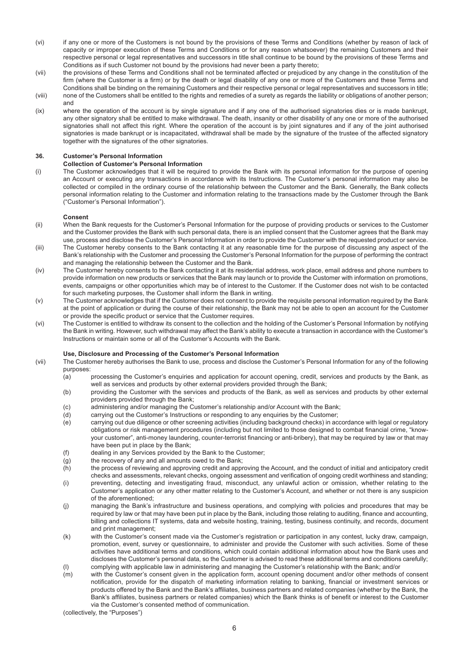- (vi) if any one or more of the Customers is not bound by the provisions of these Terms and Conditions (whether by reason of lack of capacity or improper execution of these Terms and Conditions or for any reason whatsoever) the remaining Customers and their respective personal or legal representatives and successors in title shall continue to be bound by the provisions of these Terms and Conditions as if such Customer not bound by the provisions had never been a party thereto;
- (vii) the provisions of these Terms and Conditions shall not be terminated affected or prejudiced by any change in the constitution of the firm (where the Customer is a firm) or by the death or legal disability of any one or more of the Customers and these Terms and Conditions shall be binding on the remaining Customers and their respective personal or legal representatives and successors in title;
- (viii) none of the Customers shall be entitled to the rights and remedies of a surety as regards the liability or obligations of another person; and (ix) where the operation of the account is by single signature and if any one of the authorised signatories dies or is made bankrupt,
- any other signatory shall be entitled to make withdrawal. The death, insanity or other disability of any one or more of the authorised signatories shall not affect this right. Where the operation of the account is by joint signatures and if any of the joint authorised signatories is made bankrupt or is incapacitated, withdrawal shall be made by the signature of the trustee of the affected signatory together with the signatures of the other signatories.

# **36. Customer's Personal Information**

# **Collection of Customer's Personal Information**

(i) The Customer acknowledges that it will be required to provide the Bank with its personal information for the purpose of opening an Account or executing any transactions in accordance with its Instructions. The Customer's personal information may also be collected or compiled in the ordinary course of the relationship between the Customer and the Bank. Generally, the Bank collects personal information relating to the Customer and information relating to the transactions made by the Customer through the Bank ("Customer's Personal Information").

# **Consent**

- (ii) When the Bank requests for the Customer's Personal Information for the purpose of providing products or services to the Customer and the Customer provides the Bank with such personal data, there is an implied consent that the Customer agrees that the Bank may use, process and disclose the Customer's Personal Information in order to provide the Customer with the requested product or service.
- (iii) The Customer hereby consents to the Bank contacting it at any reasonable time for the purpose of discussing any aspect of the Bank's relationship with the Customer and processing the Customer's Personal Information for the purpose of performing the contract and managing the relationship between the Customer and the Bank.
- (iv) The Customer hereby consents to the Bank contacting it at its residential address, work place, email address and phone numbers to provide information on new products or services that the Bank may launch or to provide the Customer with information on promotions, events, campaigns or other opportunities which may be of interest to the Customer. If the Customer does not wish to be contacted for such marketing purposes, the Customer shall inform the Bank in writing.
- (v) The Customer acknowledges that if the Customer does not consent to provide the requisite personal information required by the Bank at the point of application or during the course of their relationship, the Bank may not be able to open an account for the Customer or provide the specific product or service that the Customer requires.
- (vi) The Customer is entitled to withdraw its consent to the collection and the holding of the Customer's Personal Information by notifying the Bank in writing. However, such withdrawal may affect the Bank's ability to execute a transaction in accordance with the Customer's Instructions or maintain some or all of the Customer's Accounts with the Bank.

## **Use, Disclosure and Processing of the Customer's Personal Information**

- (vii) The Customer hereby authorises the Bank to use, process and disclose the Customer's Personal Information for any of the following purposes:
	- (a) processing the Customer's enquiries and application for account opening, credit, services and products by the Bank, as well as services and products by other external providers provided through the Bank;
	- (b) providing the Customer with the services and products of the Bank, as well as services and products by other external providers provided through the Bank;
	- (c) administering and/or managing the Customer's relationship and/or Account with the Bank;
	- (d) carrying out the Customer's Instructions or responding to any enquiries by the Customer;
	- (e) carrying out due diligence or other screening activities (including background checks) in accordance with legal or regulatory obligations or risk management procedures (including but not limited to those designed to combat financial crime, "knowyour customer", anti-money laundering, counter-terrorist financing or anti-bribery), that may be required by law or that may have been put in place by the Bank;
	- (f) dealing in any Services provided by the Bank to the Customer;
	- (g) the recovery of any and all amounts owed to the Bank;
	- (h) the process of reviewing and approving credit and approving the Account, and the conduct of initial and anticipatory credit checks and assessments, relevant checks, ongoing assessment and verification of ongoing credit worthiness and standing;
	- (i) preventing, detecting and investigating fraud, misconduct, any unlawful action or omission, whether relating to the Customer's application or any other matter relating to the Customer's Account, and whether or not there is any suspicion of the aforementioned;
	- (j) managing the Bank's infrastructure and business operations, and complying with policies and procedures that may be required by law or that may have been put in place by the Bank, including those relating to auditing, finance and accounting, billing and collections IT systems, data and website hosting, training, testing, business continuity, and records, document and print management;
	- (k) with the Customer's consent made via the Customer's registration or participation in any contest, lucky draw, campaign, promotion, event, survey or questionnaire, to administer and provide the Customer with such activities. Some of these activities have additional terms and conditions, which could contain additional information about how the Bank uses and discloses the Customer's personal data, so the Customer is advised to read these additional terms and conditions carefully; (l) complying with applicable law in administering and managing the Customer's relationship with the Bank; and/or
	- (m) with the Customer's consent given in the application form, account opening document and/or other methods of consent notification, provide for the dispatch of marketing information relating to banking, financial or investment services or products offered by the Bank and the Bank's affiliates, business partners and related companies (whether by the Bank, the Bank's affiliates, business partners or related companies) which the Bank thinks is of benefit or interest to the Customer via the Customer's consented method of communication.

(collectively, the "Purposes")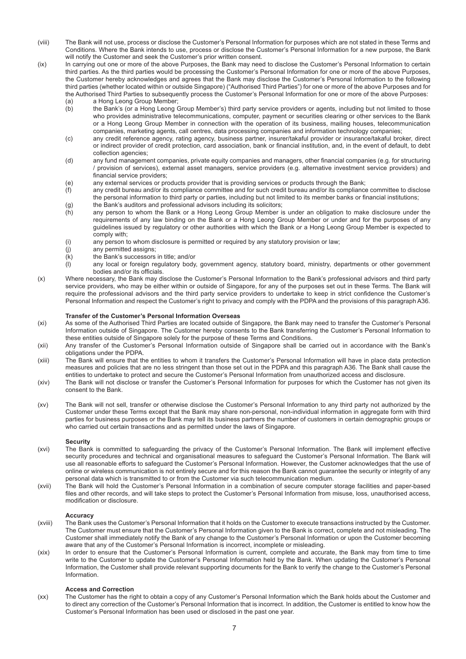- (viii) The Bank will not use, process or disclose the Customer's Personal Information for purposes which are not stated in these Terms and Conditions. Where the Bank intends to use, process or disclose the Customer's Personal Information for a new purpose, the Bank will notify the Customer and seek the Customer's prior written consent.
- (ix) In carrying out one or more of the above Purposes, the Bank may need to disclose the Customer's Personal Information to certain third parties. As the third parties would be processing the Customer's Personal Information for one or more of the above Purposes, the Customer hereby acknowledges and agrees that the Bank may disclose the Customer's Personal Information to the following third parties (whether located within or outside Singapore) ("Authorised Third Parties") for one or more of the above Purposes and for the Authorised Third Parties to subsequently process the Customer's Personal Information for one or more of the above Purposes:

- (a) a Hong Leong Group Member;<br>(b) the Bank's (or a Hong Leong C the Bank's (or a Hong Leong Group Member's) third party service providers or agents, including but not limited to those who provides administrative telecommunications, computer, payment or securities clearing or other services to the Bank or a Hong Leong Group Member in connection with the operation of its business, mailing houses, telecommunication companies, marketing agents, call centres, data processing companies and information technology companies;
- (c) any credit reference agency, rating agency, business partner, insurer/takaful provider or insurance/takaful broker, direct or indirect provider of credit protection, card association, bank or financial institution, and, in the event of default, to debt collection agencies;
- (d) any fund management companies, private equity companies and managers, other financial companies (e.g. for structuring / provision of services), external asset managers, service providers (e.g. alternative investment service providers) and financial service providers:
- (e) any external services or products provider that is providing services or products through the Bank;
- (f) any credit bureau and/or its compliance committee and for such credit bureau and/or its compliance committee to disclose the personal information to third party or parties, including but not limited to its member banks or financial institutions;
- (g) the Bank's auditors and professional advisors including its solicitors;
- (h) any person to whom the Bank or a Hong Leong Group Member is under an obligation to make disclosure under the requirements of any law binding on the Bank or a Hong Leong Group Member or under and for the purposes of any guidelines issued by regulatory or other authorities with which the Bank or a Hong Leong Group Member is expected to comply with;
- (i) any person to whom disclosure is permitted or required by any statutory provision or law;
- 
- (j) any permitted assigns;<br>(k) the Bank's successors the Bank's successors in title; and/or
- (l) any local or foreign regulatory body, government agency, statutory board, ministry, departments or other government bodies and/or its officials.
- (x) Where necessary, the Bank may disclose the Customer's Personal Information to the Bank's professional advisors and third party service providers, who may be either within or outside of Singapore, for any of the purposes set out in these Terms. The Bank will require the professional advisors and the third party service providers to undertake to keep in strict confidence the Customer's Personal Information and respect the Customer's right to privacy and comply with the PDPA and the provisions of this paragraph A36.

## **Transfer of the Customer's Personal Information Overseas**

- (xi) As some of the Authorised Third Parties are located outside of Singapore, the Bank may need to transfer the Customer's Personal Information outside of Singapore. The Customer hereby consents to the Bank transferring the Customer's Personal Information to these entities outside of Singapore solely for the purpose of these Terms and Conditions.
- (xii) Any transfer of the Customer's Personal Information outside of Singapore shall be carried out in accordance with the Bank's obligations under the PDPA.
- (xiii) The Bank will ensure that the entities to whom it transfers the Customer's Personal Information will have in place data protection measures and policies that are no less stringent than those set out in the PDPA and this paragraph A36. The Bank shall cause the entities to undertake to protect and secure the Customer's Personal Information from unauthorized access and disclosure.
- (xiv) The Bank will not disclose or transfer the Customer's Personal Information for purposes for which the Customer has not given its consent to the Bank.
- (xv) The Bank will not sell, transfer or otherwise disclose the Customer's Personal Information to any third party not authorized by the Customer under these Terms except that the Bank may share non-personal, non-individual information in aggregate form with third parties for business purposes or the Bank may tell its business partners the number of customers in certain demographic groups or who carried out certain transactions and as permitted under the laws of Singapore.

#### **Security**

- (xvi) The Bank is committed to safeguarding the privacy of the Customer's Personal Information. The Bank will implement effective security procedures and technical and organisational measures to safeguard the Customer's Personal Information. The Bank will use all reasonable efforts to safeguard the Customer's Personal Information. However, the Customer acknowledges that the use of online or wireless communication is not entirely secure and for this reason the Bank cannot guarantee the security or integrity of any personal data which is transmitted to or from the Customer via such telecommunication medium.
- (xvii) The Bank will hold the Customer's Personal Information in a combination of secure computer storage facilities and paper-based files and other records, and will take steps to protect the Customer's Personal Information from misuse, loss, unauthorised access, modification or disclosure.

## **Accuracy**

- (xviii) The Bank uses the Customer's Personal Information that it holds on the Customer to execute transactions instructed by the Customer. The Customer must ensure that the Customer's Personal Information given to the Bank is correct, complete and not misleading. The Customer shall immediately notify the Bank of any change to the Customer's Personal Information or upon the Customer becoming aware that any of the Customer's Personal Information is incorrect, incomplete or misleading.
- (xix) In order to ensure that the Customer's Personal Information is current, complete and accurate, the Bank may from time to time write to the Customer to update the Customer's Personal Information held by the Bank. When updating the Customer's Personal Information, the Customer shall provide relevant supporting documents for the Bank to verify the change to the Customer's Personal Information.

#### **Access and Correction**

(xx) The Customer has the right to obtain a copy of any Customer's Personal Information which the Bank holds about the Customer and to direct any correction of the Customer's Personal Information that is incorrect. In addition, the Customer is entitled to know how the Customer's Personal Information has been used or disclosed in the past one year.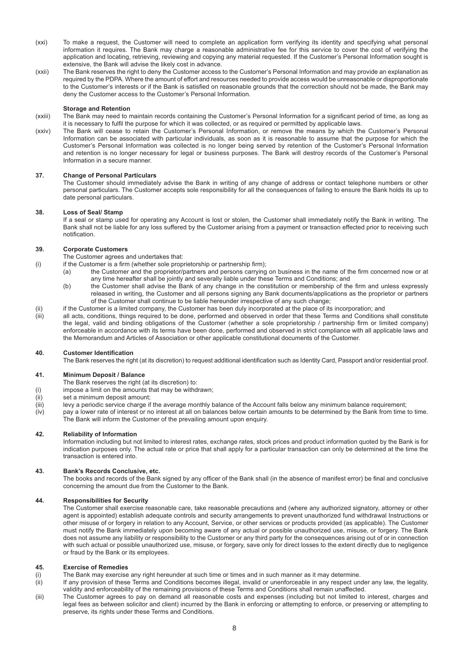- (xxi) To make a request, the Customer will need to complete an application form verifying its identity and specifying what personal information it requires. The Bank may charge a reasonable administrative fee for this service to cover the cost of verifying the application and locating, retrieving, reviewing and copying any material requested. If the Customer's Personal Information sought is extensive, the Bank will advise the likely cost in advance.
- (xxii) The Bank reserves the right to deny the Customer access to the Customer's Personal Information and may provide an explanation as required by the PDPA. Where the amount of effort and resources needed to provide access would be unreasonable or disproportionate to the Customer's interests or if the Bank is satisfied on reasonable grounds that the correction should not be made, the Bank may deny the Customer access to the Customer's Personal Information.

## **Storage and Retention**

- (xxiii) The Bank may need to maintain records containing the Customer's Personal Information for a significant period of time, as long as it is necessary to fulfil the purpose for which it was collected, or as required or permitted by applicable laws.
- (xxiv) The Bank will cease to retain the Customer's Personal Information, or remove the means by which the Customer's Personal Information can be associated with particular individuals, as soon as it is reasonable to assume that the purpose for which the Customer's Personal Information was collected is no longer being served by retention of the Customer's Personal Information and retention is no longer necessary for legal or business purposes. The Bank will destroy records of the Customer's Personal Information in a secure manner.

## **37. Change of Personal Particulars**

The Customer should immediately advise the Bank in writing of any change of address or contact telephone numbers or other personal particulars. The Customer accepts sole responsibility for all the consequences of failing to ensure the Bank holds its up to date personal particulars.

## **38. Loss of Seal/ Stamp**

If a seal or stamp used for operating any Account is lost or stolen, the Customer shall immediately notify the Bank in writing. The Bank shall not be liable for any loss suffered by the Customer arising from a payment or transaction effected prior to receiving such notification.

# **39. Corporate Customers**

- The Customer agrees and undertakes that:
- $\mu$  if the Customer is a firm (whether sole proprietorship or partnership firm);
	- (a) the Customer and the proprietor/partners and persons carrying on business in the name of the firm concerned now or at any time hereafter shall be jointly and severally liable under these Terms and Conditions; and
	- (b) the Customer shall advise the Bank of any change in the constitution or membership of the firm and unless expressly released in writing, the Customer and all persons signing any Bank documents/applications as the proprietor or partners of the Customer shall continue to be liable hereunder irrespective of any such change;
- (ii) if the Customer is a limited company, the Customer has been duly incorporated at the place of its incorporation; and<br>(iii) all acts, conditions, things required to be done, performed and observed in order that these T
- all acts, conditions, things required to be done, performed and observed in order that these Terms and Conditions shall constitute the legal, valid and binding obligations of the Customer (whether a sole proprietorship / partnership firm or limited company) enforceable in accordance with its terms have been done, performed and observed in strict compliance with all applicable laws and the Memorandum and Articles of Association or other applicable constitutional documents of the Customer.

# **40.** Customer Identification

The Bank reserves the right (at its discretion) to request additional identification such as Identity Card, Passport and/or residential proof.

# **41. Minimum Deposit / Balance**

- The Bank reserves the right (at its discretion) to:
- (i) impose a limit on the amounts that may be withdrawn;
- (ii) set a minimum deposit amount;
- $(iii)$  levy a periodic service charge if the average monthly balance of the Account falls below any minimum balance requirement;
- (iv) pay a lower rate of interest or no interest at all on balances below certain amounts to be determined by the Bank from time to time. The Bank will inform the Customer of the prevailing amount upon enquiry.

## **42. Reliability of Information**

Information including but not limited to interest rates, exchange rates, stock prices and product information quoted by the Bank is for indication purposes only. The actual rate or price that shall apply for a particular transaction can only be determined at the time the transaction is entered into.

# **43. Bank's Records Conclusive, etc.**

The books and records of the Bank signed by any officer of the Bank shall (in the absence of manifest error) be final and conclusive concerning the amount due from the Customer to the Bank.

## **44. Responsibilities for Security**

The Customer shall exercise reasonable care, take reasonable precautions and (where any authorized signatory, attorney or other agent is appointed) establish adequate controls and security arrangements to prevent unauthorized fund withdrawal Instructions or other misuse of or forgery in relation to any Account, Service, or other services or products provided (as applicable). The Customer must notify the Bank immediately upon becoming aware of any actual or possible unauthorized use, misuse, or forgery. The Bank does not assume any liability or responsibility to the Customer or any third party for the consequences arising out of or in connection with such actual or possible unauthorized use, misuse, or forgery, save only for direct losses to the extent directly due to negligence or fraud by the Bank or its employees.

## **45. Exercise of Remedies**

- (i) The Bank may exercise any right hereunder at such time or times and in such manner as it may determine.
- (ii) If any provision of these Terms and Conditions becomes illegal, invalid or unenforceable in any respect under any law, the legality, validity and enforceability of the remaining provisions of these Terms and Conditions shall remain unaffected.
- (iii) The Customer agrees to pay on demand all reasonable costs and expenses (including but not limited to interest, charges and legal fees as between solicitor and client) incurred by the Bank in enforcing or attempting to enforce, or preserving or attempting to preserve, its rights under these Terms and Conditions.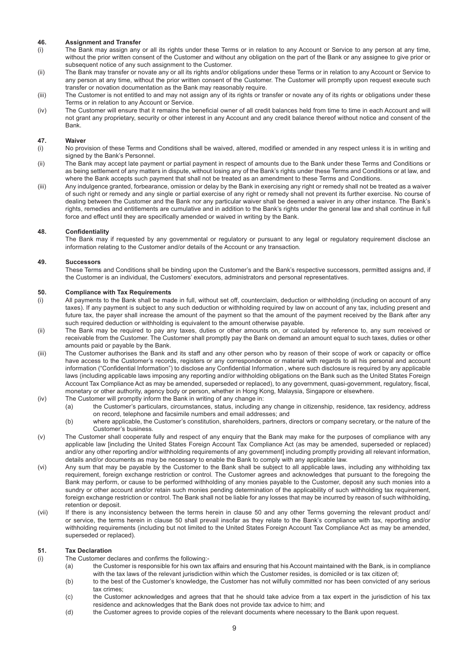# **46. Assignment and Transfer**

- (i) The Bank may assign any or all its rights under these Terms or in relation to any Account or Service to any person at any time, without the prior written consent of the Customer and without any obligation on the part of the Bank or any assignee to give prior or subsequent notice of any such assignment to the Customer.
- (ii) The Bank may transfer or novate any or all its rights and/or obligations under these Terms or in relation to any Account or Service to any person at any time, without the prior written consent of the Customer. The Customer will promptly upon request execute such transfer or novation documentation as the Bank may reasonably require.
- (iii) The Customer is not entitled to and may not assign any of its rights or transfer or novate any of its rights or obligations under these Terms or in relation to any Account or Service.
- (iv) The Customer will ensure that it remains the beneficial owner of all credit balances held from time to time in each Account and will not grant any proprietary, security or other interest in any Account and any credit balance thereof without notice and consent of the Bank.

## **47. Waiver**

- (i) No provision of these Terms and Conditions shall be waived, altered, modified or amended in any respect unless it is in writing and signed by the Bank's Personnel.
- (ii) The Bank may accept late payment or partial payment in respect of amounts due to the Bank under these Terms and Conditions or as being settlement of any matters in dispute, without losing any of the Bank's rights under these Terms and Conditions or at law, and where the Bank accepts such payment that shall not be treated as an amendment to these Terms and Conditions.
- (iii) Any indulgence granted, forbearance, omission or delay by the Bank in exercising any right or remedy shall not be treated as a waiver of such right or remedy and any single or partial exercise of any right or remedy shall not prevent its further exercise. No course of dealing between the Customer and the Bank nor any particular waiver shall be deemed a waiver in any other instance. The Bank's rights, remedies and entitlements are cumulative and in addition to the Bank's rights under the general law and shall continue in full force and effect until they are specifically amended or waived in writing by the Bank.

## **48. Confidentiality**

The Bank may if requested by any governmental or regulatory or pursuant to any legal or regulatory requirement disclose an information relating to the Customer and/or details of the Account or any transaction.

## **49. Successors**

These Terms and Conditions shall be binding upon the Customer's and the Bank's respective successors, permitted assigns and, if the Customer is an individual, the Customers' executors, administrators and personal representatives.

## **50. Compliance with Tax Requirements**

- (i) All payments to the Bank shall be made in full, without set off, counterclaim, deduction or withholding (including on account of any taxes). If any payment is subject to any such deduction or withholding required by law on account of any tax, including present and future tax, the payer shall increase the amount of the payment so that the amount of the payment received by the Bank after any such required deduction or withholding is equivalent to the amount otherwise payable.
- (ii) The Bank may be required to pay any taxes, duties or other amounts on, or calculated by reference to, any sum received or receivable from the Customer. The Customer shall promptly pay the Bank on demand an amount equal to such taxes, duties or other amounts paid or payable by the Bank.
- (iii) The Customer authorises the Bank and its staff and any other person who by reason of their scope of work or capacity or office have access to the Customer's records, registers or any correspondence or material with regards to all his personal and account information ("Confidential Information") to disclose any Confidential Information, where such disclosure is required by any applicable laws (including applicable laws imposing any reporting and/or withholding obligations on the Bank such as the United States Foreign Account Tax Compliance Act as may be amended, superseded or replaced), to any government, quasi-government, regulatory, fiscal, monetary or other authority, agency body or person, whether in Hong Kong, Malaysia, Singapore or elsewhere.
- (iv) The Customer will promptly inform the Bank in writing of any change in:<br>(a) the Customer's particulars, circumstances, status, including a
	- the Customer's particulars, circumstances, status, including any change in citizenship, residence, tax residency, address on record, telephone and facsimile numbers and email addresses; and
	- (b) where applicable, the Customer's constitution, shareholders, partners, directors or company secretary, or the nature of the Customer's business.
- (v) The Customer shall cooperate fully and respect of any enquiry that the Bank may make for the purposes of compliance with any applicable law [including the United States Foreign Account Tax Compliance Act (as may be amended, superseded or replaced) and/or any other reporting and/or withholding requirements of any government] including promptly providing all relevant information, details and/or documents as may be necessary to enable the Bank to comply with any applicable law.
- (vi) Any sum that may be payable by the Customer to the Bank shall be subject to all applicable laws, including any withholding tax requirement, foreign exchange restriction or control. The Customer agrees and acknowledges that pursuant to the foregoing the Bank may perform, or cause to be performed withholding of any monies payable to the Customer, deposit any such monies into a sundry or other account and/or retain such monies pending determination of the applicability of such withholding tax requirement, foreign exchange restriction or control. The Bank shall not be liable for any losses that may be incurred by reason of such withholding, retention or deposit.
- (vii) If there is any inconsistency between the terms herein in clause 50 and any other Terms governing the relevant product and/ or service, the terms herein in clause 50 shall prevail insofar as they relate to the Bank's compliance with tax, reporting and/or withholding requirements (including but not limited to the United States Foreign Account Tax Compliance Act as may be amended, superseded or replaced).

## **51. Tax Declaration**

- $(i)$  The Customer declares and confirms the following:-
	- (a) the Customer is responsible for his own tax affairs and ensuring that his Account maintained with the Bank, is in compliance with the tax laws of the relevant jurisdiction within which the Customer resides, is domiciled or is tax citizen of;
	- (b) to the best of the Customer's knowledge, the Customer has not wilfully committed nor has been convicted of any serious tax crimes;
	- (c) the Customer acknowledges and agrees that that he should take advice from a tax expert in the jurisdiction of his tax residence and acknowledges that the Bank does not provide tax advice to him; and
	- (d) the Customer agrees to provide copies of the relevant documents where necessary to the Bank upon request.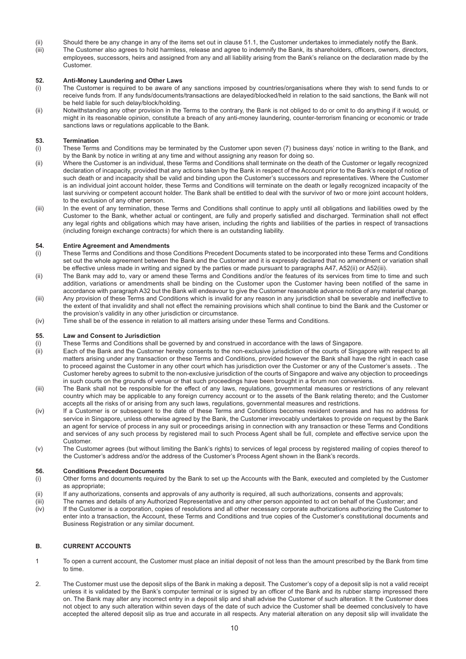- (ii) Should there be any change in any of the items set out in clause 51.1, the Customer undertakes to immediately notify the Bank.
- (iii) The Customer also agrees to hold harmless, release and agree to indemnify the Bank, its shareholders, officers, owners, directors, employees, successors, heirs and assigned from any and all liability arising from the Bank's reliance on the declaration made by the Customer.

## **52. Anti-Money Laundering and Other Laws**

- (i) The Customer is required to be aware of any sanctions imposed by countries/organisations where they wish to send funds to or receive funds from. If any funds/documents/transactions are delayed/blocked/held in relation to the said sanctions, the Bank will not be held liable for such delay/block/holding.
- (ii) Notwithstanding any other provision in the Terms to the contrary, the Bank is not obliged to do or omit to do anything if it would, or might in its reasonable opinion, constitute a breach of any anti-money laundering, counter-terrorism financing or economic or trade sanctions laws or regulations applicable to the Bank.

## **53. Termination**

- (i) These Terms and Conditions may be terminated by the Customer upon seven (7) business days' notice in writing to the Bank, and by the Bank by notice in writing at any time and without assigning any reason for doing so.
- (ii) Where the Customer is an individual, these Terms and Conditions shall terminate on the death of the Customer or legally recognized declaration of incapacity, provided that any actions taken by the Bank in respect of the Account prior to the Bank's receipt of notice of such death or and incapacity shall be valid and binding upon the Customer's successors and representatives. Where the Customer is an individual joint account holder, these Terms and Conditions will terminate on the death or legally recognized incapacity of the last surviving or competent account holder. The Bank shall be entitled to deal with the survivor of two or more joint account holders, to the exclusion of any other person.
- (iii) In the event of any termination, these Terms and Conditions shall continue to apply until all obligations and liabilities owed by the Customer to the Bank, whether actual or contingent, are fully and properly satisfied and discharged. Termination shall not effect any legal rights and obligations which may have arisen, including the rights and liabilities of the parties in respect of transactions (including foreign exchange contracts) for which there is an outstanding liability.

## **54. Entire Agreement and Amendments**

- (i) These Terms and Conditions and those Conditions Precedent Documents stated to be incorporated into these Terms and Conditions set out the whole agreement between the Bank and the Customer and it is expressly declared that no amendment or variation shall be effective unless made in writing and signed by the parties or made pursuant to paragraphs A47, A52(ii) or A52(iii).
- (ii) The Bank may add to, vary or amend these Terms and Conditions and/or the features of its services from time to time and such addition, variations or amendments shall be binding on the Customer upon the Customer having been notified of the same in accordance with paragraph A32 but the Bank will endeavour to give the Customer reasonable advance notice of any material change.
- (iii) Any provision of these Terms and Conditions which is invalid for any reason in any jurisdiction shall be severable and ineffective to the extent of that invalidity and shall not effect the remaining provisions which shall continue to bind the Bank and the Customer or the provision's validity in any other jurisdiction or circumstance.
- (iv) Time shall be of the essence in relation to all matters arising under these Terms and Conditions.

## **55. Law and Consent to Jurisdiction**

- (i) These Terms and Conditions shall be governed by and construed in accordance with the laws of Singapore.
- (ii) Each of the Bank and the Customer hereby consents to the non-exclusive jurisdiction of the courts of Singapore with respect to all matters arising under any transaction or these Terms and Conditions, provided however the Bank shall have the right in each case to proceed against the Customer in any other court which has jurisdiction over the Customer or any of the Customer's assets. . The Customer hereby agrees to submit to the non-exclusive iurisdiction of the courts of Singapore and waive any objection to proceedings in such courts on the grounds of venue or that such proceedings have been brought in a forum non conveniens.
- (iii) The Bank shall not be responsible for the effect of any laws, regulations, governmental measures or restrictions of any relevant country which may be applicable to any foreign currency account or to the assets of the Bank relating thereto; and the Customer accepts all the risks of or arising from any such laws, regulations, governmental measures and restrictions.
- (iv) If a Customer is or subsequent to the date of these Terms and Conditions becomes resident overseas and has no address for service in Singapore, unless otherwise agreed by the Bank, the Customer irrevocably undertakes to provide on request by the Bank an agent for service of process in any suit or proceedings arising in connection with any transaction or these Terms and Conditions and services of any such process by registered mail to such Process Agent shall be full, complete and effective service upon the Customer.
- (v) The Customer agrees (but without limiting the Bank's rights) to services of legal process by registered mailing of copies thereof to the Customer's address and/or the address of the Customer's Process Agent shown in the Bank's records.

## **56. Conditions Precedent Documents**

- (i) Other forms and documents required by the Bank to set up the Accounts with the Bank, executed and completed by the Customer as appropriate:
- (ii) If any authorizations, consents and approvals of any authority is required, all such authorizations, consents and approvals;
- (iii) The names and details of any Authorized Representative and any other person appointed to act on behalf of the Customer; and
- (iv) If the Customer is a corporation, copies of resolutions and all other necessary corporate authorizations authorizing the Customer to enter into a transaction, the Account, these Terms and Conditions and true copies of the Customer's constitutional documents and Business Registration or any similar document.

# **B. CURRENT ACCOUNTS**

- 1 To open a current account, the Customer must place an initial deposit of not less than the amount prescribed by the Bank from time to time.
- 2. The Customer must use the deposit slips of the Bank in making a deposit. The Customer's copy of a deposit slip is not a valid receipt unless it is validated by the Bank's computer terminal or is signed by an officer of the Bank and its rubber stamp impressed there on. The Bank may alter any incorrect entry in a deposit slip and shall advise the Customer of such alteration. It the Customer does not object to any such alteration within seven days of the date of such advice the Customer shall be deemed conclusively to have accepted the altered deposit slip as true and accurate in all respects. Any material alteration on any deposit slip will invalidate the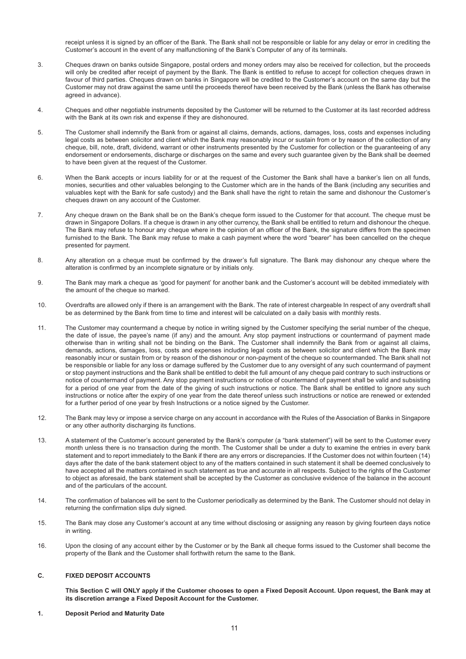receipt unless it is signed by an officer of the Bank. The Bank shall not be responsible or liable for any delay or error in crediting the Customer's account in the event of any malfunctioning of the Bank's Computer of any of its terminals.

- 3. Cheques drawn on banks outside Singapore, postal orders and money orders may also be received for collection, but the proceeds will only be credited after receipt of payment by the Bank. The Bank is entitled to refuse to accept for collection cheques drawn in favour of third parties. Cheques drawn on banks in Singapore will be credited to the Customer's account on the same day but the Customer may not draw against the same until the proceeds thereof have been received by the Bank (unless the Bank has otherwise agreed in advance).
- 4. Cheques and other negotiable instruments deposited by the Customer will be returned to the Customer at its Iast recorded address with the Bank at its own risk and expense if they are dishonoured.
- 5. The Customer shall indemnify the Bank from or against all claims, demands, actions, damages, loss, costs and expenses including legal costs as between solicitor and client which the Bank may reasonably incur or sustain from or by reason of the collection of any cheque, bill, note, draft, dividend, warrant or other instruments presented by the Customer for collection or the guaranteeing of any endorsement or endorsements, discharge or discharges on the same and every such guarantee given by the Bank shall be deemed to have been given at the request of the Customer.
- 6. When the Bank accepts or incurs liability for or at the request of the Customer the Bank shall have a banker's lien on all funds, monies, securities and other valuables belonging to the Customer which are in the hands of the Bank (including any securities and valuables kept with the Bank for safe custody) and the Bank shall have the right to retain the same and dishonour the Customer's cheques drawn on any account of the Customer.
- 7. Any cheque drawn on the Bank shall be on the Bank's cheque form issued to the Customer for that account. The cheque must be drawn in Singapore Dollars. If a cheque is drawn in any other currency, the Bank shall be entitled to return and dishonour the cheque. The Bank may refuse to honour any cheque where in the opinion of an officer of the Bank, the signature differs from the specimen furnished to the Bank. The Bank may refuse to make a cash payment where the word "bearer" has been cancelled on the cheque presented for payment.
- 8. Any alteration on a cheque must be confirmed by the drawer's full signature. The Bank may dishonour any cheque where the alteration is confirmed by an incomplete signature or by initials only.
- 9. The Bank may mark a cheque as 'good for payment' for another bank and the Customer's account will be debited immediately with the amount of the cheque so marked.
- 10. Overdrafts are allowed only if there is an arrangement with the Bank. The rate of interest chargeable In respect of any overdraft shall be as determined by the Bank from time to time and interest will be calculated on a daily basis with monthly rests.
- 11. The Customer may countermand a cheque by notice in writing signed by the Customer specifying the serial number of the cheque, the date of issue, the payee's name (if any) and the amount. Any stop payment instructions or countermand of payment made otherwise than in writing shall not be binding on the Bank. The Customer shall indemnify the Bank from or against all claims, demands, actions, damages, loss, costs and expenses including legal costs as between solicitor and client which the Bank may reasonably incur or sustain from or by reason of the dishonour or non-payment of the cheque so countermanded. The Bank shall not be responsible or liable for any loss or damage suffered by the Customer due to any oversight of any such countermand of payment or stop payment instructions and the Bank shall be entitled to debit the full amount of any cheque paid contrary to such instructions or notice of countermand of payment. Any stop payment instructions or notice of countermand of payment shall be valid and subsisting for a period of one year from the date of the giving of such instructions or notice. The Bank shall be entitled to ignore any such instructions or notice after the expiry of one year from the date thereof unless such instructions or notice are renewed or extended for a further period of one year by fresh Instructions or a notice signed by the Customer.
- 12. The Bank may levy or impose a service charge on any account in accordance with the Rules of the Association of Banks in Singapore or any other authority discharging its functions.
- 13. A statement of the Customer's account generated by the Bank's computer (a "bank statement") will be sent to the Customer every month unless there is no transaction during the month. The Customer shall be under a duty to examine the entries in every bank statement and to report immediately to the Bank if there are any errors or discrepancies. If the Customer does not within fourteen (14) days after the date of the bank statement object to any of the matters contained in such statement it shall be deemed conclusively to have accepted all the matters contained in such statement as true and accurate in all respects. Subject to the rights of the Customer to object as aforesaid, the bank statement shall be accepted by the Customer as conclusive evidence of the balance in the account and of the particulars of the account.
- 14. The confirmation of balances will be sent to the Customer periodically as determined by the Bank. The Customer should not delay in returning the confirmation slips duly signed.
- 15. The Bank may close any Customer's account at any time without disclosing or assigning any reason by giving fourteen days notice in writing.
- 16. Upon the closing of any account either by the Customer or by the Bank all cheque forms issued to the Customer shall become the property of the Bank and the Customer shall forthwith return the same to the Bank.

# **C. FIXED DEPOSIT ACCOUNTS**

**This Section C will ONLY apply if the Customer chooses to open a Fixed Deposit Account. Upon request, the Bank may at its discretion arrange a Fixed Deposit Account for the Customer.**

# **1. Deposit Period and Maturity Date**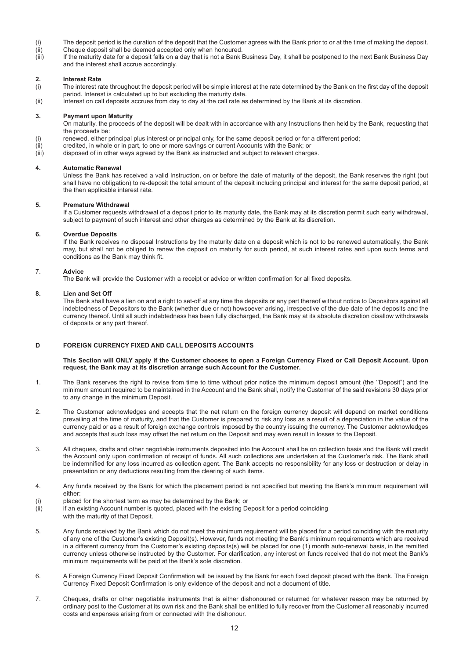- (i) The deposit period is the duration of the deposit that the Customer agrees with the Bank prior to or at the time of making the deposit.
- (ii) Cheque deposit shall be deemed accepted only when honoured.<br>(iii) If the maturity date for a deposit falls on a day that is not a Bank
- If the maturity date for a deposit falls on a day that is not a Bank Business Day, it shall be postponed to the next Bank Business Day and the interest shall accrue accordingly.

# **2. Interest Rate**

- $(i)$  The interest rate throughout the deposit period will be simple interest at the rate determined by the Bank on the first day of the deposit period. Interest is calculated up to but excluding the maturity date.
- (ii) Interest on call deposits accrues from day to day at the call rate as determined by the Bank at its discretion.

# **3. Payment upon Maturity**

On maturity, the proceeds of the deposit will be dealt with in accordance with any Instructions then held by the Bank, requesting that the proceeds be:

- (i) renewed, either principal plus interest or principal only, for the same deposit period or for a different period;
- (ii) credited, in whole or in part, to one or more savings or current Accounts with the Bank; or
- (iii) disposed of in other ways agreed by the Bank as instructed and subject to relevant charges.

# **4. Automatic Renewal**

Unless the Bank has received a valid Instruction, on or before the date of maturity of the deposit, the Bank reserves the right (but shall have no obligation) to re-deposit the total amount of the deposit including principal and interest for the same deposit period, at the then applicable interest rate.

# **5. Premature Withdrawal**

If a Customer requests withdrawal of a deposit prior to its maturity date, the Bank may at its discretion permit such early withdrawal, subject to payment of such interest and other charges as determined by the Bank at its discretion.

# **6. Overdue Deposits**

If the Bank receives no disposal Instructions by the maturity date on a deposit which is not to be renewed automatically, the Bank may, but shall not be obliged to renew the deposit on maturity for such period, at such interest rates and upon such terms and conditions as the Bank may think fit.

# 7. **Advice**

The Bank will provide the Customer with a receipt or advice or written confirmation for all fixed deposits.

# **8. Lien and Set Off**

The Bank shall have a lien on and a right to set-off at any time the deposits or any part thereof without notice to Depositors against all indebtedness of Depositors to the Bank (whether due or not) howsoever arising, irrespective of the due date of the deposits and the currency thereof. Until all such indebtedness has been fully discharged, the Bank may at its absolute discretion disallow withdrawals of deposits or any part thereof.

# **D FOREIGN CURRENCY FIXED AND CALL DEPOSITS ACCOUNTS**

## **This Section will ONLY apply if the Customer chooses to open a Foreign Currency Fixed or Call Deposit Account. Upon request, the Bank may at its discretion arrange such Account for the Customer.**

- 1. The Bank reserves the right to revise from time to time without prior notice the minimum deposit amount (the ''Deposit") and the minimum amount required to be maintained in the Account and the Bank shall, notify the Customer of the said revisions 30 days prior to any change in the minimum Deposit.
- 2. The Customer acknowledges and accepts that the net return on the foreign currency deposit will depend on market conditions prevailing at the time of maturity, and that the Customer is prepared to risk any loss as a result of a depreciation in the value of the currency paid or as a result of foreign exchange controls imposed by the country issuing the currency. The Customer acknowledges and accepts that such loss may offset the net return on the Deposit and may even result in losses to the Deposit.
- 3. All cheques, drafts and other negotiable instruments deposited into the Account shall be on collection basis and the Bank will credit the Account only upon confirmation of receipt of funds. All such collections are undertaken at the Customer's risk. The Bank shall be indemnified for any loss incurred as collection agent. The Bank accepts no responsibility for any loss or destruction or delay in presentation or any deductions resulting from the clearing of such items.
- 4. Any funds received by the Bank for which the placement period is not specified but meeting the Bank's minimum requirement will either:
- (i) placed for the shortest term as may be determined by the Bank; or
- (ii) if an existing Account number is quoted, placed with the existing Deposit for a period coinciding
- with the maturity of that Deposit.
- 5. Any funds received by the Bank which do not meet the minimum requirement will be placed for a period coinciding with the maturity of any one of the Customer's existing Deposit(s). However, funds not meeting the Bank's minimum requirements which are received in a different currency from the Customer's existing deposits(s) will be placed for one (1) month auto-renewal basis, in the remitted currency unless otherwise instructed by the Customer. For clarification, any interest on funds received that do not meet the Bank's minimum requirements will be paid at the Bank's sole discretion.
- 6. A Foreign Currency Fixed Deposit Confirmation will be issued by the Bank for each fixed deposit placed with the Bank. The Foreign Currency Fixed Deposit Confirmation is only evidence of the deposit and not a document of title.
- 7. Cheques, drafts or other negotiable instruments that is either dishonoured or returned for whatever reason may be returned by ordinary post to the Customer at its own risk and the Bank shall be entitled to fully recover from the Customer all reasonably incurred costs and expenses arising from or connected with the dishonour.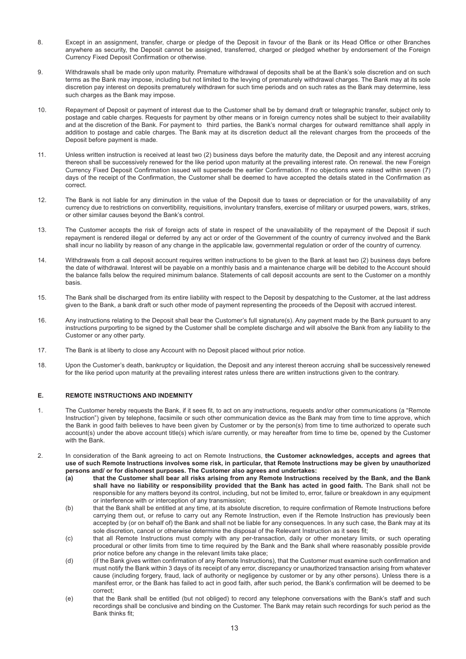- 8. Except in an assignment, transfer, charge or pledge of the Deposit in favour of the Bank or its Head Office or other Branches anywhere as security, the Deposit cannot be assigned, transferred, charged or pledged whether by endorsement of the Foreign Currency Fixed Deposit Confirmation or otherwise.
- 9. Withdrawals shall be made only upon maturity. Premature withdrawal of deposits shall be at the Bank's sole discretion and on such terms as the Bank may impose, including but not limited to the levying of prematurely withdrawal charges. The Bank may at its sole discretion pay interest on deposits prematurely withdrawn for such time periods and on such rates as the Bank may determine, less such charges as the Bank may impose.
- 10. Repayment of Deposit or payment of interest due to the Customer shall be by demand draft or telegraphic transfer, subject only to postage and cable charges. Requests for payment by other means or in foreign currency notes shall be subject to their availability and at the discretion of the Bank. For payment to third parties, the Bank's normal charges for outward remittance shall apply in addition to postage and cable charges. The Bank may at its discretion deduct all the relevant charges from the proceeds of the Deposit before payment is made.
- 11. Unless written instruction is received at least two (2) business days before the maturity date, the Deposit and any interest accruing thereon shall be successively renewed for the like period upon maturity at the prevailing interest rate. On renewal. the new Foreign Currency Fixed Deposit Confirmation issued will supersede the earlier Confirmation. If no objections were raised within seven (7) days of the receipt of the Confirmation, the Customer shall be deemed to have accepted the details stated in the Confirmation as correct.
- 12. The Bank is not liable for any diminution in the value of the Deposit due to taxes or depreciation or for the unavailability of any currency due to restrictions on convertibility, requisitions, involuntary transfers, exercise of military or usurped powers, wars, strikes, or other similar causes beyond the Bank's control.
- 13. The Customer accepts the risk of foreign acts of state in respect of the unavailability of the repayment of the Deposit if such repayment is rendered illegal or deferred by any act or order of the Government of the country of currency involved and the Bank shall incur no liability by reason of any change in the applicable law, governmental regulation or order of the country of currency.
- 14. Withdrawals from a call deposit account requires written instructions to be given to the Bank at least two (2) business days before the date of withdrawal. Interest will be payable on a monthly basis and a maintenance charge will be debited to the Account should the balance falls below the required minimum balance. Statements of call deposit accounts are sent to the Customer on a monthly basis.
- 15. The Bank shall be discharged from its entire liability with respect to the Deposit by despatching to the Customer, at the last address given to the Bank, a bank draft or such other mode of payment representing the proceeds of the Deposit with accrued interest.
- 16. Any instructions relating to the Deposit shall bear the Customer's full signature(s). Any payment made by the Bank pursuant to any instructions purporting to be signed by the Customer shall be complete discharge and will absolve the Bank from any liability to the Customer or any other party.
- 17. The Bank is at liberty to close any Account with no Deposit placed without prior notice.
- 18. Upon the Customer's death, bankruptcy or liquidation, the Deposit and any interest thereon accruing shall be successively renewed for the like period upon maturity at the prevailing interest rates unless there are written instructions given to the contrary.

# **E. REMOTE INSTRUCTIONS AND INDEMNITY**

- 1. The Customer hereby requests the Bank, if it sees fit, to act on any instructions, requests and/or other communications (a "Remote Instruction") given by telephone, facsimile or such other communication device as the Bank may from time to time approve, which the Bank in good faith believes to have been given by Customer or by the person(s) from time to time authorized to operate such account(s) under the above account title(s) which is/are currently, or may hereafter from time to time be, opened by the Customer with the Bank.
- 2. In consideration of the Bank agreeing to act on Remote Instructions, **the Customer acknowledges, accepts and agrees that use of such Remote Instructions involves some risk, in particular, that Remote Instructions may be given by unauthorized persons and/ or for dishonest purposes. The Customer also agrees and undertakes:**
	- **(a) that the Customer shall bear all risks arising from any Remote Instructions received by the Bank, and the Bank shall have no liability or responsibility provided that the Bank has acted in good faith.** The Bank shall not be responsible for any matters beyond its control, including, but not be limited to, error, failure or breakdown in any equipment or interference with or interception of any transmission;
	- (b) that the Bank shall be entitled at any time, at its absolute discretion, to require confirmation of Remote Instructions before carrying them out, or refuse to carry out any Remote Instruction, even if the Remote Instruction has previously been accepted by (or on behalf of) the Bank and shall not be liable for any consequences. In any such case, the Bank may at its sole discretion, cancel or otherwise determine the disposal of the Relevant Instruction as it sees fit;
	- (c) that all Remote Instructions must comply with any per-transaction, daily or other monetary limits, or such operating procedural or other limits from time to time required by the Bank and the Bank shall where reasonably possible provide prior notice before any change in the relevant limits take place;
	- (d) (if the Bank gives written confirmation of any Remote Instructions), that the Customer must examine such confirmation and must notify the Bank within 3 days of its receipt of any error, discrepancy or unauthorized transaction arising from whatever cause (including forgery, fraud, lack of authority or negligence by customer or by any other persons). Unless there is a manifest error, or the Bank has failed to act in good faith, after such period, the Bank's confirmation will be deemed to be correct;
	- (e) that the Bank shall be entitled (but not obliged) to record any telephone conversations with the Bank's staff and such recordings shall be conclusive and binding on the Customer. The Bank may retain such recordings for such period as the Bank thinks fit;